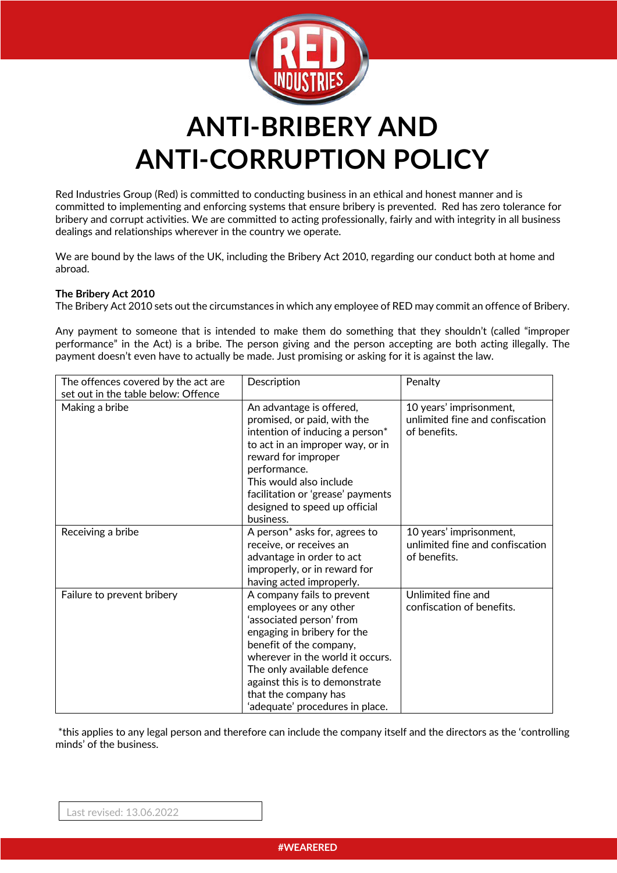

# **ANTI-BRIBERY AND ANTI-CORRUPTION POLICY**

Red Industries Group (Red) is committed to conducting business in an ethical and honest manner and is committed to implementing and enforcing systems that ensure bribery is prevented. Red has zero tolerance for bribery and corrupt activities. We are committed to acting professionally, fairly and with integrity in all business dealings and relationships wherever in the country we operate.

We are bound by the laws of the UK, including the Bribery Act 2010, regarding our conduct both at home and abroad.

## **The Bribery Act 2010**

The Bribery Act 2010 sets out the circumstances in which any employee of RED may commit an offence of Bribery.

Any payment to someone that is intended to make them do something that they shouldn't (called "improper performance" in the Act) is a bribe. The person giving and the person accepting are both acting illegally. The payment doesn't even have to actually be made. Just promising or asking for it is against the law.

| The offences covered by the act are<br>set out in the table below: Offence | Description                                                                                                                                                                                                                                                                                               | Penalty                                                                    |
|----------------------------------------------------------------------------|-----------------------------------------------------------------------------------------------------------------------------------------------------------------------------------------------------------------------------------------------------------------------------------------------------------|----------------------------------------------------------------------------|
| Making a bribe                                                             | An advantage is offered,<br>promised, or paid, with the<br>intention of inducing a person <sup>*</sup><br>to act in an improper way, or in<br>reward for improper<br>performance.<br>This would also include<br>facilitation or 'grease' payments<br>designed to speed up official<br>business.           | 10 years' imprisonment,<br>unlimited fine and confiscation<br>of benefits. |
| Receiving a bribe                                                          | A person <sup>*</sup> asks for, agrees to<br>receive, or receives an<br>advantage in order to act<br>improperly, or in reward for<br>having acted improperly.                                                                                                                                             | 10 years' imprisonment,<br>unlimited fine and confiscation<br>of benefits. |
| Failure to prevent bribery                                                 | A company fails to prevent<br>employees or any other<br>'associated person' from<br>engaging in bribery for the<br>benefit of the company,<br>wherever in the world it occurs.<br>The only available defence<br>against this is to demonstrate<br>that the company has<br>'adequate' procedures in place. | Unlimited fine and<br>confiscation of benefits.                            |

\*this applies to any legal person and therefore can include the company itself and the directors as the 'controlling minds' of the business.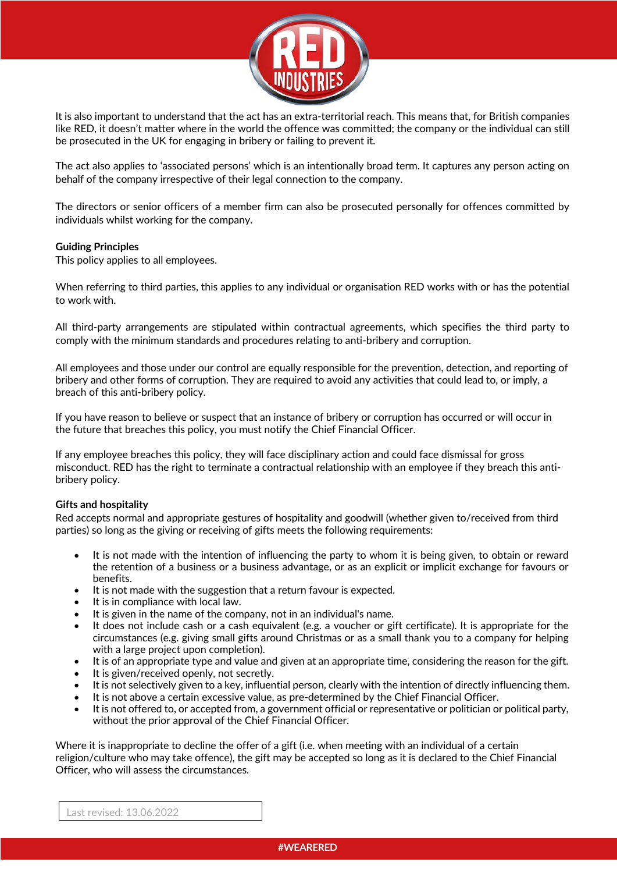

It is also important to understand that the act has an extra-territorial reach. This means that, for British companies like RED, it doesn't matter where in the world the offence was committed; the company or the individual can still be prosecuted in the UK for engaging in bribery or failing to prevent it.

The act also applies to 'associated persons' which is an intentionally broad term. It captures any person acting on behalf of the company irrespective of their legal connection to the company.

The directors or senior officers of a member firm can also be prosecuted personally for offences committed by individuals whilst working for the company.

## **Guiding Principles**

This policy applies to all employees.

When referring to third parties, this applies to any individual or organisation RED works with or has the potential to work with.

All third-party arrangements are stipulated within contractual agreements, which specifies the third party to comply with the minimum standards and procedures relating to anti-bribery and corruption.

All employees and those under our control are equally responsible for the prevention, detection, and reporting of bribery and other forms of corruption. They are required to avoid any activities that could lead to, or imply, a breach of this anti-bribery policy.

If you have reason to believe or suspect that an instance of bribery or corruption has occurred or will occur in the future that breaches this policy, you must notify the Chief Financial Officer.

If any employee breaches this policy, they will face disciplinary action and could face dismissal for gross misconduct. RED has the right to terminate a contractual relationship with an employee if they breach this antibribery policy.

#### **Gifts and hospitality**

Red accepts normal and appropriate gestures of hospitality and goodwill (whether given to/received from third parties) so long as the giving or receiving of gifts meets the following requirements:

- It is not made with the intention of influencing the party to whom it is being given, to obtain or reward the retention of a business or a business advantage, or as an explicit or implicit exchange for favours or benefits.
- It is not made with the suggestion that a return favour is expected.
- It is in compliance with local law.
- It is given in the name of the company, not in an individual's name.
- It does not include cash or a cash equivalent (e.g. a voucher or gift certificate). It is appropriate for the circumstances (e.g. giving small gifts around Christmas or as a small thank you to a company for helping with a large project upon completion).
- It is of an appropriate type and value and given at an appropriate time, considering the reason for the gift.
- It is given/received openly, not secretly.
- It is not selectively given to a key, influential person, clearly with the intention of directly influencing them.
- It is not above a certain excessive value, as pre-determined by the Chief Financial Officer.
- It is not offered to, or accepted from, a government official or representative or politician or political party, without the prior approval of the Chief Financial Officer.

Where it is inappropriate to decline the offer of a gift (i.e. when meeting with an individual of a certain religion/culture who may take offence), the gift may be accepted so long as it is declared to the Chief Financial Officer, who will assess the circumstances.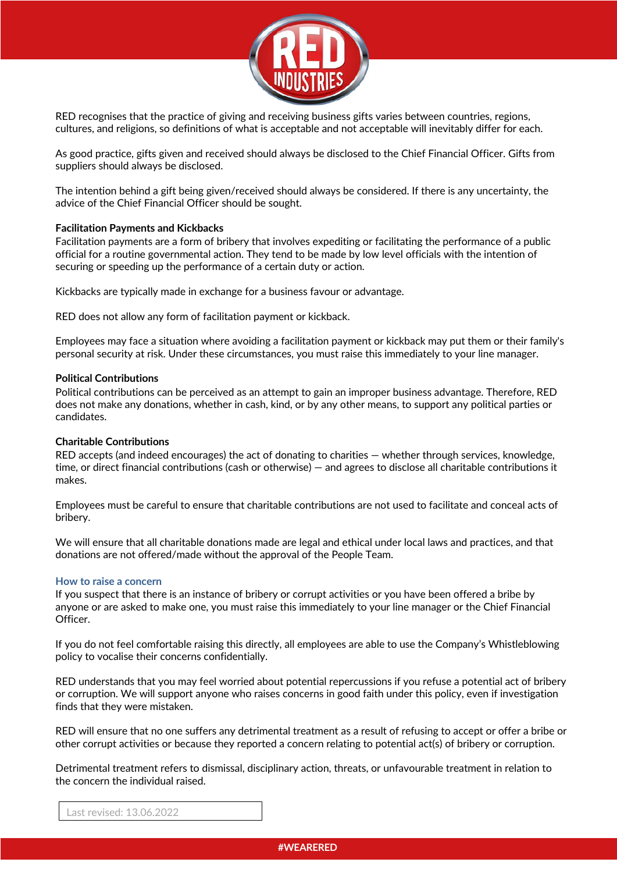

RED recognises that the practice of giving and receiving business gifts varies between countries, regions, cultures, and religions, so definitions of what is acceptable and not acceptable will inevitably differ for each.

As good practice, gifts given and received should always be disclosed to the Chief Financial Officer. Gifts from suppliers should always be disclosed.

The intention behind a gift being given/received should always be considered. If there is any uncertainty, the advice of the Chief Financial Officer should be sought.

## **Facilitation Payments and Kickbacks**

Facilitation payments are a form of bribery that involves expediting or facilitating the performance of a public official for a routine governmental action. They tend to be made by low level officials with the intention of securing or speeding up the performance of a certain duty or action.

Kickbacks are typically made in exchange for a business favour or advantage.

RED does not allow any form of facilitation payment or kickback.

Employees may face a situation where avoiding a facilitation payment or kickback may put them or their family's personal security at risk. Under these circumstances, you must raise this immediately to your line manager.

#### **Political Contributions**

Political contributions can be perceived as an attempt to gain an improper business advantage. Therefore, RED does not make any donations, whether in cash, kind, or by any other means, to support any political parties or candidates.

#### **Charitable Contributions**

RED accepts (and indeed encourages) the act of donating to charities — whether through services, knowledge, time, or direct financial contributions (cash or otherwise) — and agrees to disclose all charitable contributions it makes.

Employees must be careful to ensure that charitable contributions are not used to facilitate and conceal acts of bribery.

We will ensure that all charitable donations made are legal and ethical under local laws and practices, and that donations are not offered/made without the approval of the People Team.

#### **How to raise a concern**

If you suspect that there is an instance of bribery or corrupt activities or you have been offered a bribe by anyone or are asked to make one, you must raise this immediately to your line manager or the Chief Financial Officer.

If you do not feel comfortable raising this directly, all employees are able to use the Company's Whistleblowing policy to vocalise their concerns confidentially.

RED understands that you may feel worried about potential repercussions if you refuse a potential act of bribery or corruption. We will support anyone who raises concerns in good faith under this policy, even if investigation finds that they were mistaken.

RED will ensure that no one suffers any detrimental treatment as a result of refusing to accept or offer a bribe or other corrupt activities or because they reported a concern relating to potential act(s) of bribery or corruption.

Detrimental treatment refers to dismissal, disciplinary action, threats, or unfavourable treatment in relation to the concern the individual raised.